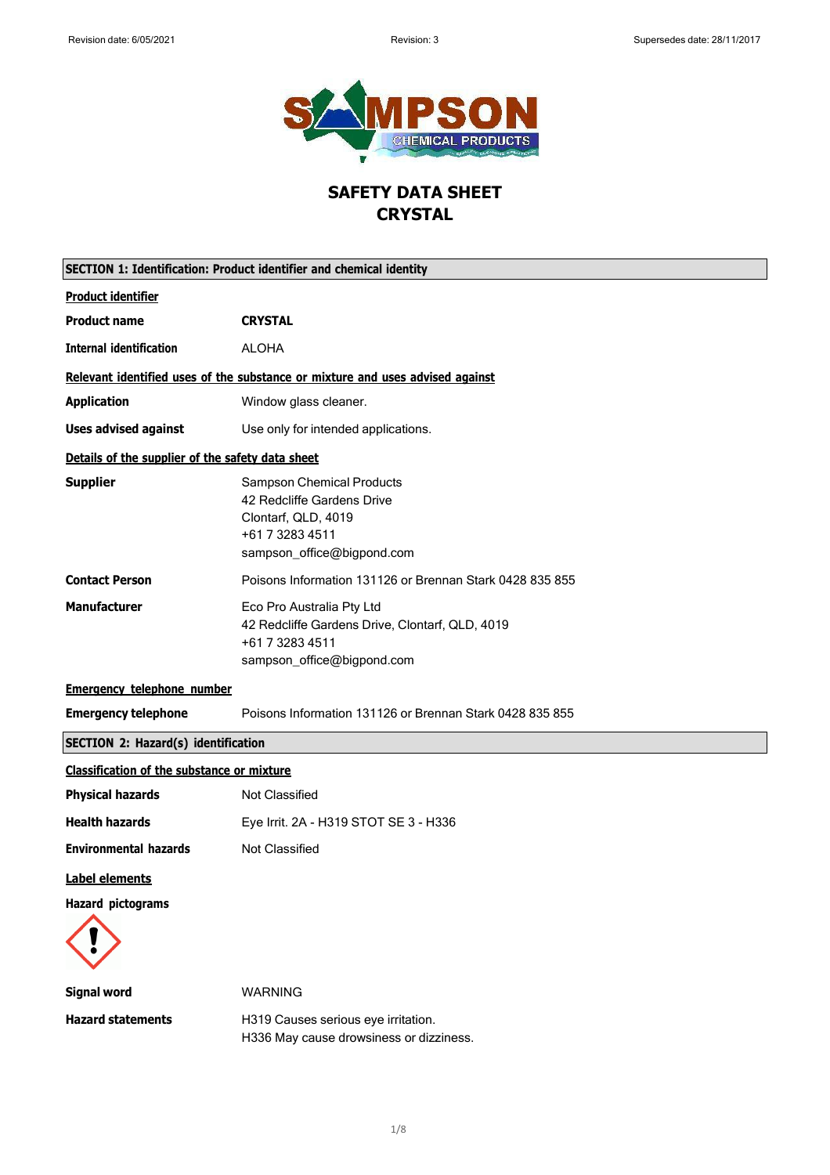$\overline{\phantom{a}}$ 

 $\mathsf{r}$ 



# **SAFETY DATA SHEET CRYSTAL**

| <b>SECTION 1: Identification: Product identifier and chemical identity</b> |                                                                                                                                        |  |
|----------------------------------------------------------------------------|----------------------------------------------------------------------------------------------------------------------------------------|--|
| <b>Product identifier</b>                                                  |                                                                                                                                        |  |
| <b>Product name</b>                                                        | <b>CRYSTAL</b>                                                                                                                         |  |
| <b>Internal identification</b>                                             | <b>ALOHA</b>                                                                                                                           |  |
|                                                                            | Relevant identified uses of the substance or mixture and uses advised against                                                          |  |
| <b>Application</b>                                                         | Window glass cleaner.                                                                                                                  |  |
| <b>Uses advised against</b>                                                | Use only for intended applications.                                                                                                    |  |
| Details of the supplier of the safety data sheet                           |                                                                                                                                        |  |
| <b>Supplier</b>                                                            | <b>Sampson Chemical Products</b><br>42 Redcliffe Gardens Drive<br>Clontarf, QLD, 4019<br>+61 7 3283 4511<br>sampson_office@bigpond.com |  |
| <b>Contact Person</b>                                                      | Poisons Information 131126 or Brennan Stark 0428 835 855                                                                               |  |
| <b>Manufacturer</b>                                                        | Eco Pro Australia Pty Ltd<br>42 Redcliffe Gardens Drive, Clontarf, QLD, 4019<br>+61 7 3283 4511<br>sampson_office@bigpond.com          |  |
| <b>Emergency telephone number</b>                                          |                                                                                                                                        |  |
| <b>Emergency telephone</b>                                                 | Poisons Information 131126 or Brennan Stark 0428 835 855                                                                               |  |
| <b>SECTION 2: Hazard(s) identification</b>                                 |                                                                                                                                        |  |
| <b>Classification of the substance or mixture</b>                          |                                                                                                                                        |  |
| <b>Physical hazards</b>                                                    | <b>Not Classified</b>                                                                                                                  |  |
| <b>Health hazards</b>                                                      | Eye Irrit. 2A - H319 STOT SE 3 - H336                                                                                                  |  |
| <b>Environmental hazards</b>                                               | <b>Not Classified</b>                                                                                                                  |  |
| <b>Label elements</b>                                                      |                                                                                                                                        |  |
| <b>Hazard pictograms</b>                                                   |                                                                                                                                        |  |
| <b>Signal word</b>                                                         | <b>WARNING</b>                                                                                                                         |  |
| <b>Hazard statements</b>                                                   | H319 Causes serious eye irritation.<br>H336 May cause drowsiness or dizziness.                                                         |  |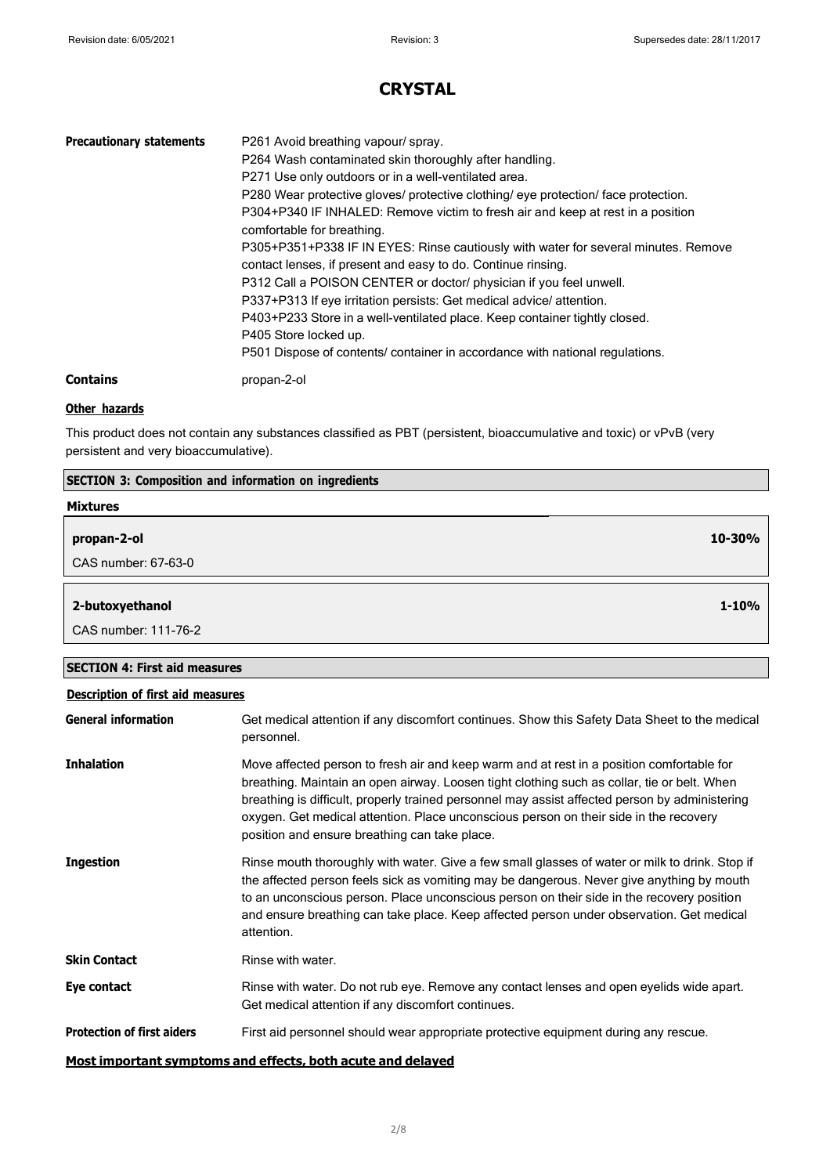٦

# **CRYSTAL**

| <b>Precautionary statements</b> | P261 Avoid breathing vapour/ spray.<br>P264 Wash contaminated skin thoroughly after handling.<br>P271 Use only outdoors or in a well-ventilated area.<br>P280 Wear protective gloves/ protective clothing/ eye protection/ face protection.<br>P304+P340 IF INHALED: Remove victim to fresh air and keep at rest in a position<br>comfortable for breathing.<br>P305+P351+P338 IF IN EYES: Rinse cautiously with water for several minutes. Remove<br>contact lenses, if present and easy to do. Continue rinsing.<br>P312 Call a POISON CENTER or doctor/ physician if you feel unwell.<br>P337+P313 If eye irritation persists: Get medical advice/attention.<br>P403+P233 Store in a well-ventilated place. Keep container tightly closed.<br>P405 Store locked up.<br>P501 Dispose of contents/ container in accordance with national regulations. |
|---------------------------------|--------------------------------------------------------------------------------------------------------------------------------------------------------------------------------------------------------------------------------------------------------------------------------------------------------------------------------------------------------------------------------------------------------------------------------------------------------------------------------------------------------------------------------------------------------------------------------------------------------------------------------------------------------------------------------------------------------------------------------------------------------------------------------------------------------------------------------------------------------|
| Contains                        | propan-2-ol                                                                                                                                                                                                                                                                                                                                                                                                                                                                                                                                                                                                                                                                                                                                                                                                                                            |

## **Other hazards**

This product does not contain any substances classified as PBT (persistent, bioaccumulative and toxic) or vPvB (very persistent and very bioaccumulative).

| SECTION 3: Composition and information on ingredients |           |
|-------------------------------------------------------|-----------|
| <b>Mixtures</b>                                       |           |
| propan-2-ol                                           | 10-30%    |
| CAS number: 67-63-0                                   |           |
|                                                       |           |
| 2-butoxyethanol                                       | $1 - 10%$ |
| CAS number: 111-76-2                                  |           |
|                                                       |           |
| <b>SECTION 4: First aid measures</b>                  |           |

| <b>Description of first aid measures</b>                    |                                                                                                                                                                                                                                                                                                                                                                                                                                      |  |
|-------------------------------------------------------------|--------------------------------------------------------------------------------------------------------------------------------------------------------------------------------------------------------------------------------------------------------------------------------------------------------------------------------------------------------------------------------------------------------------------------------------|--|
| <b>General information</b>                                  | Get medical attention if any discomfort continues. Show this Safety Data Sheet to the medical<br>personnel.                                                                                                                                                                                                                                                                                                                          |  |
| <b>Inhalation</b>                                           | Move affected person to fresh air and keep warm and at rest in a position comfortable for<br>breathing. Maintain an open airway. Loosen tight clothing such as collar, tie or belt. When<br>breathing is difficult, properly trained personnel may assist affected person by administering<br>oxygen. Get medical attention. Place unconscious person on their side in the recovery<br>position and ensure breathing can take place. |  |
| <b>Ingestion</b>                                            | Rinse mouth thoroughly with water. Give a few small glasses of water or milk to drink. Stop if<br>the affected person feels sick as vomiting may be dangerous. Never give anything by mouth<br>to an unconscious person. Place unconscious person on their side in the recovery position<br>and ensure breathing can take place. Keep affected person under observation. Get medical<br>attention.                                   |  |
| <b>Skin Contact</b>                                         | Rinse with water.                                                                                                                                                                                                                                                                                                                                                                                                                    |  |
| Eye contact                                                 | Rinse with water. Do not rub eye. Remove any contact lenses and open eyelids wide apart.<br>Get medical attention if any discomfort continues.                                                                                                                                                                                                                                                                                       |  |
| <b>Protection of first aiders</b>                           | First aid personnel should wear appropriate protective equipment during any rescue.                                                                                                                                                                                                                                                                                                                                                  |  |
| Most important symptoms and effects, both acute and delayed |                                                                                                                                                                                                                                                                                                                                                                                                                                      |  |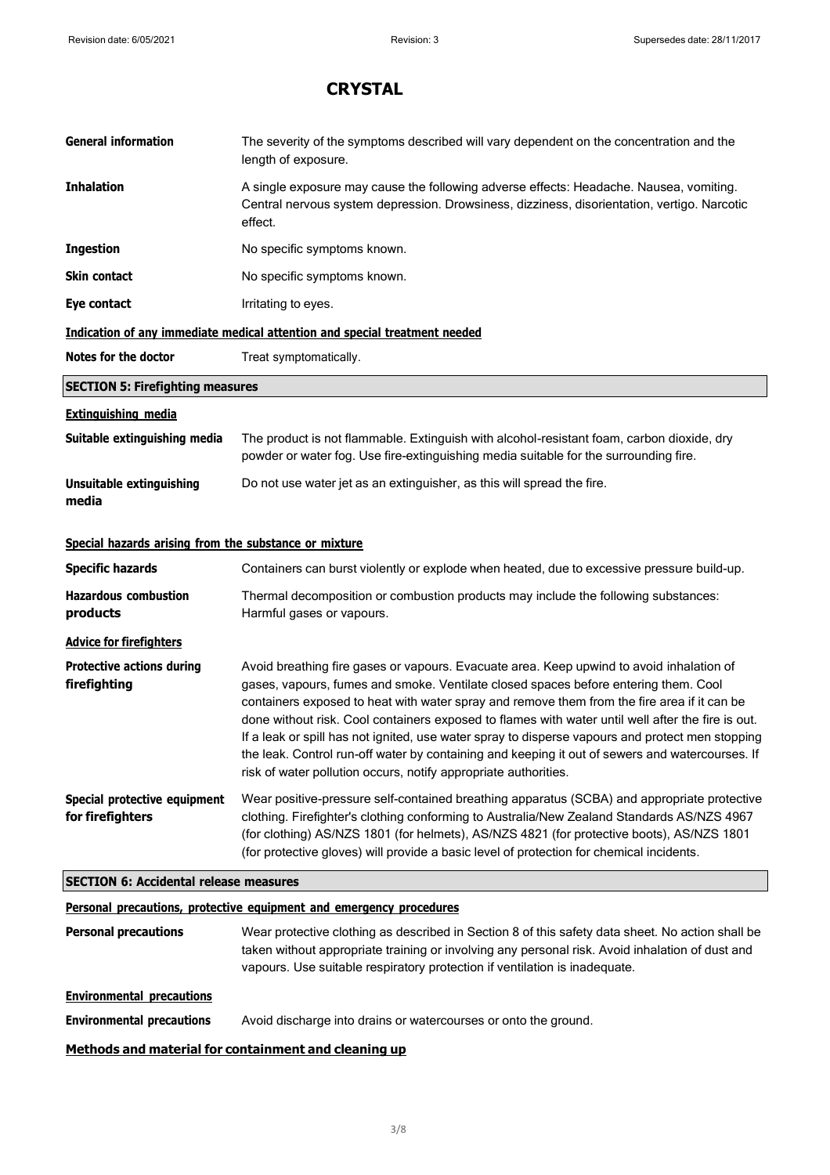| <b>General information</b>                            | The severity of the symptoms described will vary dependent on the concentration and the<br>length of exposure.                                                                                                                                                                                                                                                                                                                                                                                                                                                                                                                                                |  |
|-------------------------------------------------------|---------------------------------------------------------------------------------------------------------------------------------------------------------------------------------------------------------------------------------------------------------------------------------------------------------------------------------------------------------------------------------------------------------------------------------------------------------------------------------------------------------------------------------------------------------------------------------------------------------------------------------------------------------------|--|
| <b>Inhalation</b>                                     | A single exposure may cause the following adverse effects: Headache. Nausea, vomiting.<br>Central nervous system depression. Drowsiness, dizziness, disorientation, vertigo. Narcotic<br>effect.                                                                                                                                                                                                                                                                                                                                                                                                                                                              |  |
| <b>Ingestion</b>                                      | No specific symptoms known.                                                                                                                                                                                                                                                                                                                                                                                                                                                                                                                                                                                                                                   |  |
| <b>Skin contact</b>                                   | No specific symptoms known.                                                                                                                                                                                                                                                                                                                                                                                                                                                                                                                                                                                                                                   |  |
| Eye contact                                           | Irritating to eyes.                                                                                                                                                                                                                                                                                                                                                                                                                                                                                                                                                                                                                                           |  |
|                                                       | Indication of any immediate medical attention and special treatment needed                                                                                                                                                                                                                                                                                                                                                                                                                                                                                                                                                                                    |  |
| Notes for the doctor                                  | Treat symptomatically.                                                                                                                                                                                                                                                                                                                                                                                                                                                                                                                                                                                                                                        |  |
| <b>SECTION 5: Firefighting measures</b>               |                                                                                                                                                                                                                                                                                                                                                                                                                                                                                                                                                                                                                                                               |  |
| <b>Extinguishing media</b>                            |                                                                                                                                                                                                                                                                                                                                                                                                                                                                                                                                                                                                                                                               |  |
| Suitable extinguishing media                          | The product is not flammable. Extinguish with alcohol-resistant foam, carbon dioxide, dry<br>powder or water fog. Use fire-extinguishing media suitable for the surrounding fire.                                                                                                                                                                                                                                                                                                                                                                                                                                                                             |  |
| Unsuitable extinguishing<br>media                     | Do not use water jet as an extinguisher, as this will spread the fire.                                                                                                                                                                                                                                                                                                                                                                                                                                                                                                                                                                                        |  |
| Special hazards arising from the substance or mixture |                                                                                                                                                                                                                                                                                                                                                                                                                                                                                                                                                                                                                                                               |  |
| <b>Specific hazards</b>                               | Containers can burst violently or explode when heated, due to excessive pressure build-up.                                                                                                                                                                                                                                                                                                                                                                                                                                                                                                                                                                    |  |
| <b>Hazardous combustion</b><br>products               | Thermal decomposition or combustion products may include the following substances:<br>Harmful gases or vapours.                                                                                                                                                                                                                                                                                                                                                                                                                                                                                                                                               |  |
| <b>Advice for firefighters</b>                        |                                                                                                                                                                                                                                                                                                                                                                                                                                                                                                                                                                                                                                                               |  |
| <b>Protective actions during</b><br>firefighting      | Avoid breathing fire gases or vapours. Evacuate area. Keep upwind to avoid inhalation of<br>gases, vapours, fumes and smoke. Ventilate closed spaces before entering them. Cool<br>containers exposed to heat with water spray and remove them from the fire area if it can be<br>done without risk. Cool containers exposed to flames with water until well after the fire is out.<br>If a leak or spill has not ignited, use water spray to disperse vapours and protect men stopping<br>the leak. Control run-off water by containing and keeping it out of sewers and watercourses. If<br>risk of water pollution occurs, notify appropriate authorities. |  |
| Special protective equipment<br>for firefighters      | Wear positive-pressure self-contained breathing apparatus (SCBA) and appropriate protective<br>clothing. Firefighter's clothing conforming to Australia/New Zealand Standards AS/NZS 4967<br>(for clothing) AS/NZS 1801 (for helmets), AS/NZS 4821 (for protective boots), AS/NZS 1801<br>(for protective gloves) will provide a basic level of protection for chemical incidents.                                                                                                                                                                                                                                                                            |  |
| <b>SECTION 6: Accidental release measures</b>         |                                                                                                                                                                                                                                                                                                                                                                                                                                                                                                                                                                                                                                                               |  |
|                                                       | Personal precautions, protective equipment and emergency procedures                                                                                                                                                                                                                                                                                                                                                                                                                                                                                                                                                                                           |  |
| <b>Personal precautions</b>                           | Wear protective clothing as described in Section 8 of this safety data sheet. No action shall be<br>taken without appropriate training or involving any personal risk. Avoid inhalation of dust and<br>vapours. Use suitable respiratory protection if ventilation is inadequate.                                                                                                                                                                                                                                                                                                                                                                             |  |
| <b>Environmental precautions</b>                      |                                                                                                                                                                                                                                                                                                                                                                                                                                                                                                                                                                                                                                                               |  |
| <b>Environmental precautions</b>                      | Avoid discharge into drains or watercourses or onto the ground.                                                                                                                                                                                                                                                                                                                                                                                                                                                                                                                                                                                               |  |
|                                                       | Methods and material for containment and cleaning up                                                                                                                                                                                                                                                                                                                                                                                                                                                                                                                                                                                                          |  |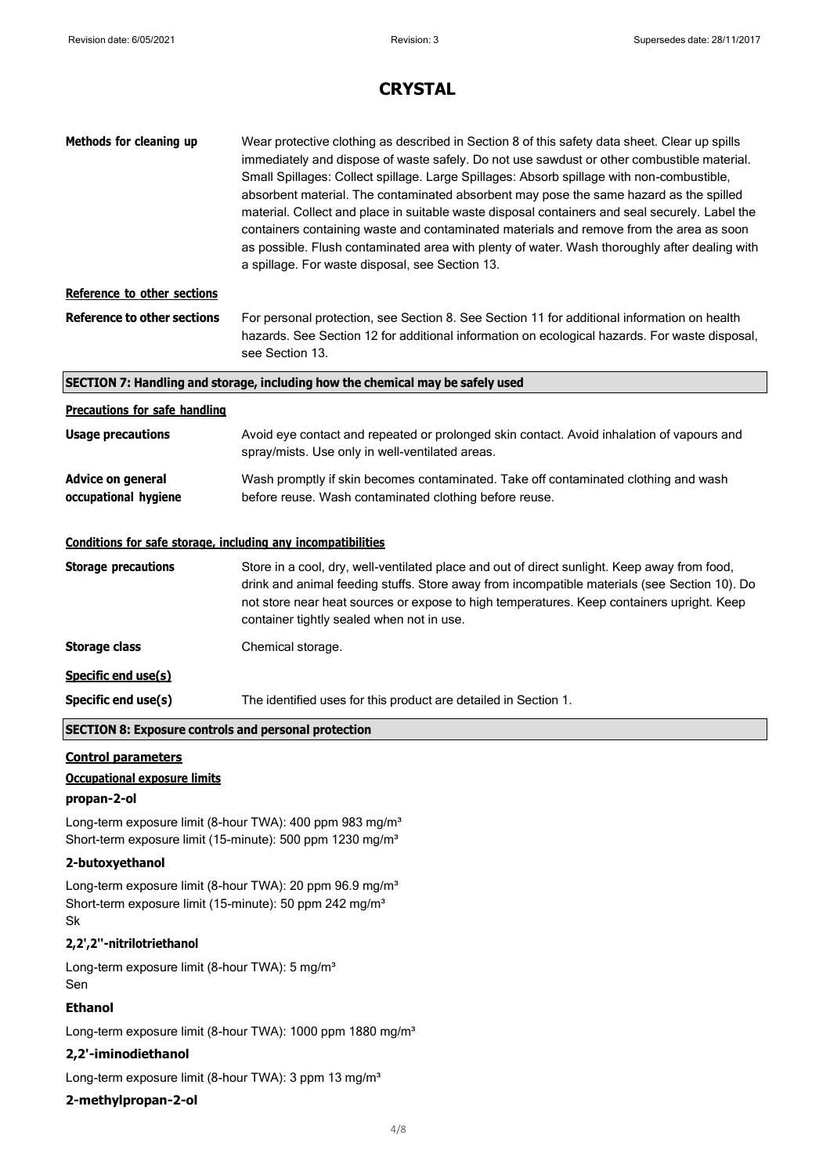| Methods for cleaning up                                      | Wear protective clothing as described in Section 8 of this safety data sheet. Clear up spills<br>immediately and dispose of waste safely. Do not use sawdust or other combustible material.<br>Small Spillages: Collect spillage. Large Spillages: Absorb spillage with non-combustible,<br>absorbent material. The contaminated absorbent may pose the same hazard as the spilled<br>material. Collect and place in suitable waste disposal containers and seal securely. Label the<br>containers containing waste and contaminated materials and remove from the area as soon<br>as possible. Flush contaminated area with plenty of water. Wash thoroughly after dealing with<br>a spillage. For waste disposal, see Section 13. |
|--------------------------------------------------------------|-------------------------------------------------------------------------------------------------------------------------------------------------------------------------------------------------------------------------------------------------------------------------------------------------------------------------------------------------------------------------------------------------------------------------------------------------------------------------------------------------------------------------------------------------------------------------------------------------------------------------------------------------------------------------------------------------------------------------------------|
| Reference to other sections                                  |                                                                                                                                                                                                                                                                                                                                                                                                                                                                                                                                                                                                                                                                                                                                     |
| <b>Reference to other sections</b>                           | For personal protection, see Section 8. See Section 11 for additional information on health<br>hazards. See Section 12 for additional information on ecological hazards. For waste disposal,<br>see Section 13.                                                                                                                                                                                                                                                                                                                                                                                                                                                                                                                     |
|                                                              | SECTION 7: Handling and storage, including how the chemical may be safely used                                                                                                                                                                                                                                                                                                                                                                                                                                                                                                                                                                                                                                                      |
| <b>Precautions for safe handling</b>                         |                                                                                                                                                                                                                                                                                                                                                                                                                                                                                                                                                                                                                                                                                                                                     |
| <b>Usage precautions</b>                                     | Avoid eye contact and repeated or prolonged skin contact. Avoid inhalation of vapours and<br>spray/mists. Use only in well-ventilated areas.                                                                                                                                                                                                                                                                                                                                                                                                                                                                                                                                                                                        |
| <b>Advice on general</b><br>occupational hygiene             | Wash promptly if skin becomes contaminated. Take off contaminated clothing and wash<br>before reuse. Wash contaminated clothing before reuse.                                                                                                                                                                                                                                                                                                                                                                                                                                                                                                                                                                                       |
| Conditions for safe storage, including any incompatibilities |                                                                                                                                                                                                                                                                                                                                                                                                                                                                                                                                                                                                                                                                                                                                     |
| <b>Storage precautions</b>                                   | Store in a cool, dry, well-ventilated place and out of direct sunlight. Keep away from food,<br>drink and animal feeding stuffs. Store away from incompatible materials (see Section 10). Do<br>not store near heat sources or expose to high temperatures. Keep containers upright. Keep<br>container tightly sealed when not in use.                                                                                                                                                                                                                                                                                                                                                                                              |
| <b>Storage class</b>                                         | Chemical storage.                                                                                                                                                                                                                                                                                                                                                                                                                                                                                                                                                                                                                                                                                                                   |
| Specific end use(s)                                          |                                                                                                                                                                                                                                                                                                                                                                                                                                                                                                                                                                                                                                                                                                                                     |
| Specific end use(s)                                          | The identified uses for this product are detailed in Section 1.                                                                                                                                                                                                                                                                                                                                                                                                                                                                                                                                                                                                                                                                     |
| <b>SECTION 8: Exposure controls and personal protection</b>  |                                                                                                                                                                                                                                                                                                                                                                                                                                                                                                                                                                                                                                                                                                                                     |

## **Control parameters**

### **Occupational exposure limits**

#### **propan-2-ol**

Long-term exposure limit (8-hour TWA): 400 ppm 983 mg/m<sup>3</sup> Short-term exposure limit (15-minute): 500 ppm 1230 mg/m<sup>3</sup>

## **2-butoxyethanol**

Long-term exposure limit (8-hour TWA): 20 ppm 96.9 mg/m<sup>3</sup> Short-term exposure limit (15-minute): 50 ppm 242 mg/m<sup>3</sup> Sk

### **2,2',2''-nitrilotriethanol**

Long-term exposure limit (8-hour TWA): 5 mg/m<sup>3</sup> Sen

## **Ethanol**

Long-term exposure limit (8-hour TWA): 1000 ppm 1880 mg/m<sup>3</sup>

### **2,2'-iminodiethanol**

Long-term exposure limit (8-hour TWA): 3 ppm 13 mg/m<sup>3</sup>

### **2-methylpropan-2-ol**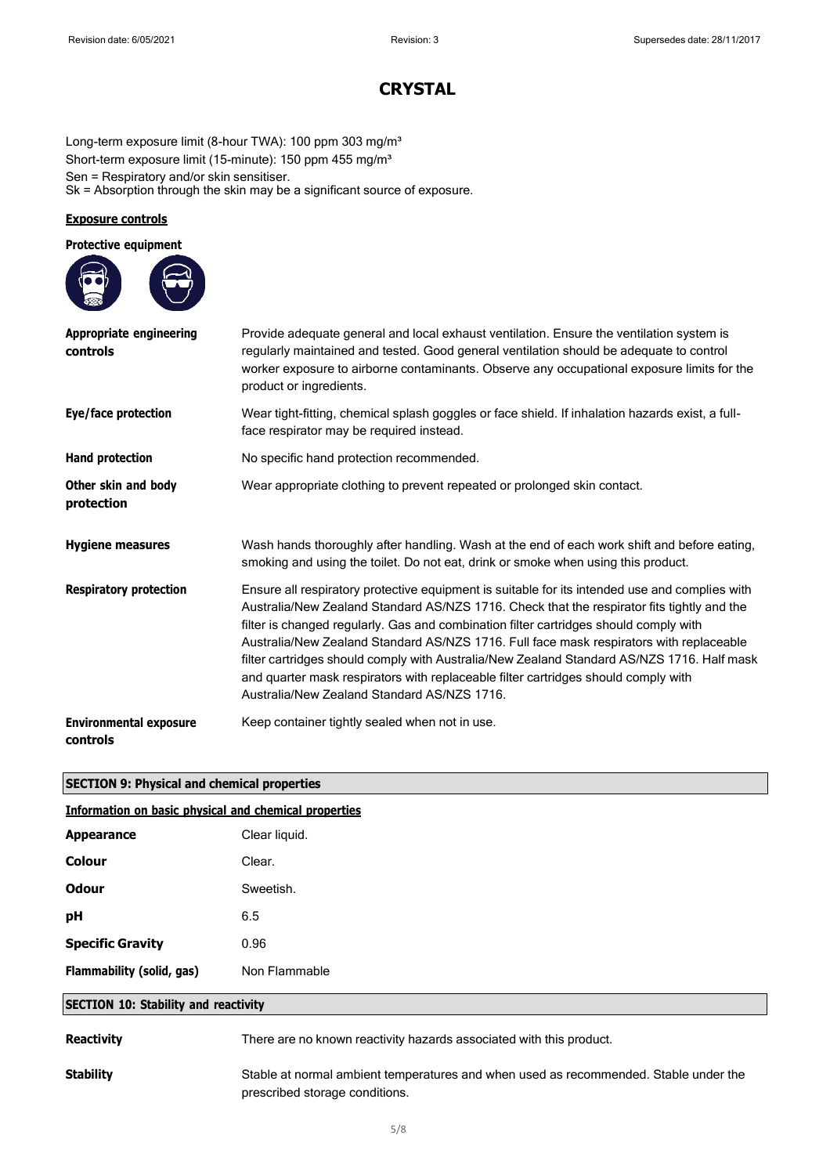Long-term exposure limit (8-hour TWA): 100 ppm 303 mg/m<sup>3</sup> Short-term exposure limit (15-minute): 150 ppm 455 mg/m<sup>3</sup> Sen = Respiratory and/or skin sensitiser. Sk = Absorption through the skin may be a significant source of exposure.

### **Exposure controls**

| <b>Protective equipment</b>                |                                                                                                                                                                                                                                                                                                                                                                                                                                                                                                                                                                                                                     |
|--------------------------------------------|---------------------------------------------------------------------------------------------------------------------------------------------------------------------------------------------------------------------------------------------------------------------------------------------------------------------------------------------------------------------------------------------------------------------------------------------------------------------------------------------------------------------------------------------------------------------------------------------------------------------|
| <b>Appropriate engineering</b><br>controls | Provide adequate general and local exhaust ventilation. Ensure the ventilation system is<br>regularly maintained and tested. Good general ventilation should be adequate to control<br>worker exposure to airborne contaminants. Observe any occupational exposure limits for the<br>product or ingredients.                                                                                                                                                                                                                                                                                                        |
| Eye/face protection                        | Wear tight-fitting, chemical splash goggles or face shield. If inhalation hazards exist, a full-<br>face respirator may be required instead.                                                                                                                                                                                                                                                                                                                                                                                                                                                                        |
| Hand protection                            | No specific hand protection recommended.                                                                                                                                                                                                                                                                                                                                                                                                                                                                                                                                                                            |
| Other skin and body<br>protection          | Wear appropriate clothing to prevent repeated or prolonged skin contact.                                                                                                                                                                                                                                                                                                                                                                                                                                                                                                                                            |
| <b>Hygiene measures</b>                    | Wash hands thoroughly after handling. Wash at the end of each work shift and before eating,<br>smoking and using the toilet. Do not eat, drink or smoke when using this product.                                                                                                                                                                                                                                                                                                                                                                                                                                    |
| <b>Respiratory protection</b>              | Ensure all respiratory protective equipment is suitable for its intended use and complies with<br>Australia/New Zealand Standard AS/NZS 1716. Check that the respirator fits tightly and the<br>filter is changed regularly. Gas and combination filter cartridges should comply with<br>Australia/New Zealand Standard AS/NZS 1716. Full face mask respirators with replaceable<br>filter cartridges should comply with Australia/New Zealand Standard AS/NZS 1716. Half mask<br>and quarter mask respirators with replaceable filter cartridges should comply with<br>Australia/New Zealand Standard AS/NZS 1716. |
| <b>Environmental exposure</b><br>controls  | Keep container tightly sealed when not in use.                                                                                                                                                                                                                                                                                                                                                                                                                                                                                                                                                                      |

## **SECTION 9: Physical and chemical properties**

| <b>Information on basic physical and chemical properties</b> |                                                                                                                        |  |
|--------------------------------------------------------------|------------------------------------------------------------------------------------------------------------------------|--|
| <b>Appearance</b>                                            | Clear liquid.                                                                                                          |  |
| <b>Colour</b>                                                | Clear.                                                                                                                 |  |
| <b>Odour</b>                                                 | Sweetish.                                                                                                              |  |
| рH                                                           | 6.5                                                                                                                    |  |
| <b>Specific Gravity</b>                                      | 0.96                                                                                                                   |  |
| Flammability (solid, gas)                                    | Non Flammable                                                                                                          |  |
| <b>SECTION 10: Stability and reactivity</b>                  |                                                                                                                        |  |
| <b>Reactivity</b>                                            | There are no known reactivity hazards associated with this product.                                                    |  |
| <b>Stability</b>                                             | Stable at normal ambient temperatures and when used as recommended. Stable under the<br>prescribed storage conditions. |  |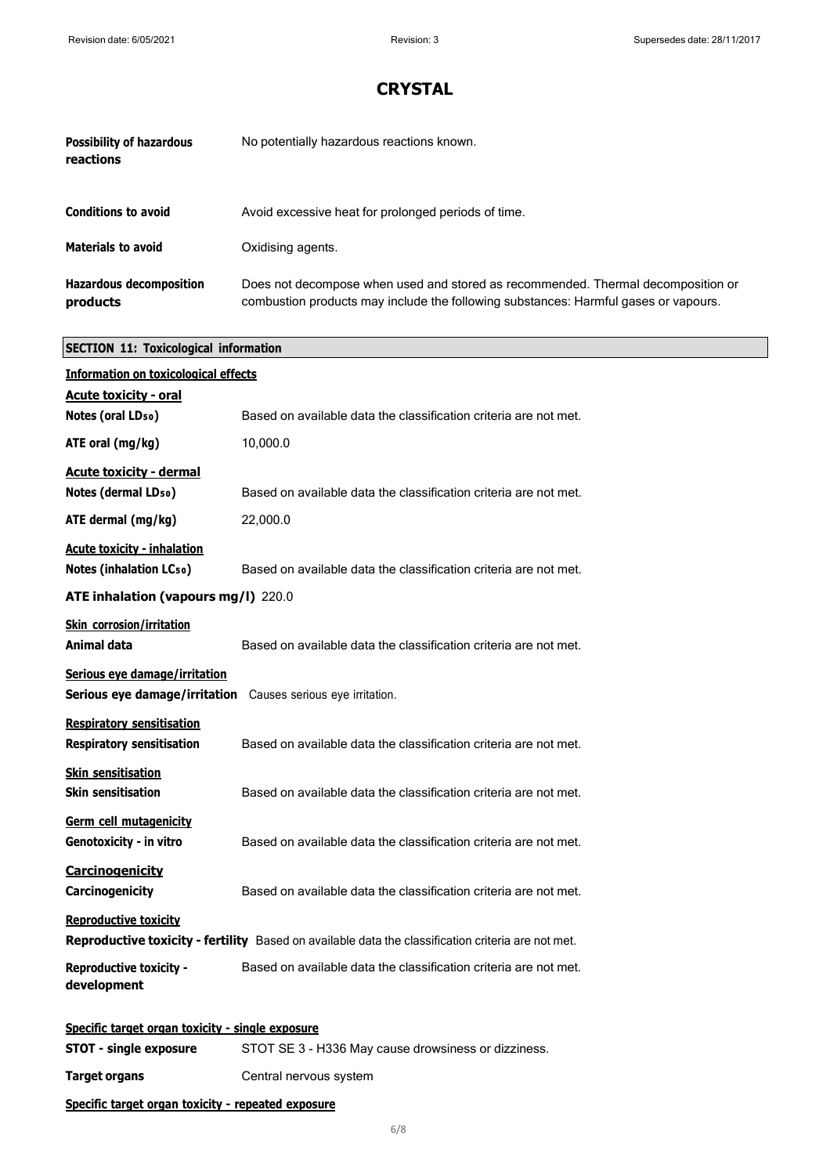| <b>Possibility of hazardous</b><br>reactions | No potentially hazardous reactions known.                                                                                                                               |
|----------------------------------------------|-------------------------------------------------------------------------------------------------------------------------------------------------------------------------|
| <b>Conditions to avoid</b>                   | Avoid excessive heat for prolonged periods of time.                                                                                                                     |
| <b>Materials to avoid</b>                    | Oxidising agents.                                                                                                                                                       |
| <b>Hazardous decomposition</b><br>products   | Does not decompose when used and stored as recommended. Thermal decomposition or<br>combustion products may include the following substances: Harmful gases or vapours. |

# **SECTION 11: Toxicological information**

| <b>Information on toxicological effects</b>                          |                                                                                                    |
|----------------------------------------------------------------------|----------------------------------------------------------------------------------------------------|
| <b>Acute toxicity - oral</b>                                         |                                                                                                    |
| Notes (oral LD <sub>50</sub> )                                       | Based on available data the classification criteria are not met.                                   |
| ATE oral (mg/kg)                                                     | 10,000.0                                                                                           |
| <b>Acute toxicity - dermal</b>                                       |                                                                                                    |
| Notes (dermal LD <sub>50</sub> )                                     | Based on available data the classification criteria are not met.                                   |
| ATE dermal (mg/kg)                                                   | 22,000.0                                                                                           |
| <b>Acute toxicity - inhalation</b><br><b>Notes (inhalation LCso)</b> | Based on available data the classification criteria are not met.                                   |
| ATE inhalation (vapours mg/l) 220.0                                  |                                                                                                    |
| <b>Skin corrosion/irritation</b><br>Animal data                      | Based on available data the classification criteria are not met.                                   |
| Serious eye damage/irritation                                        |                                                                                                    |
| Serious eye damage/irritation Causes serious eye irritation.         |                                                                                                    |
| <b>Respiratory sensitisation</b><br><b>Respiratory sensitisation</b> | Based on available data the classification criteria are not met.                                   |
| <b>Skin sensitisation</b><br><b>Skin sensitisation</b>               | Based on available data the classification criteria are not met.                                   |
| Germ cell mutagenicity<br>Genotoxicity - in vitro                    | Based on available data the classification criteria are not met.                                   |
| Carcinogenicity<br>Carcinogenicity                                   | Based on available data the classification criteria are not met.                                   |
| <b>Reproductive toxicity</b>                                         | Reproductive toxicity - fertility Based on available data the classification criteria are not met. |
| <b>Reproductive toxicity -</b><br>development                        | Based on available data the classification criteria are not met.                                   |
| Specific target organ toxicity - single exposure                     |                                                                                                    |
| <b>STOT - single exposure</b>                                        | STOT SE 3 - H336 May cause drowsiness or dizziness.                                                |

**Target organs** Central nervous system

## **Specific target organ toxicity - repeated exposure**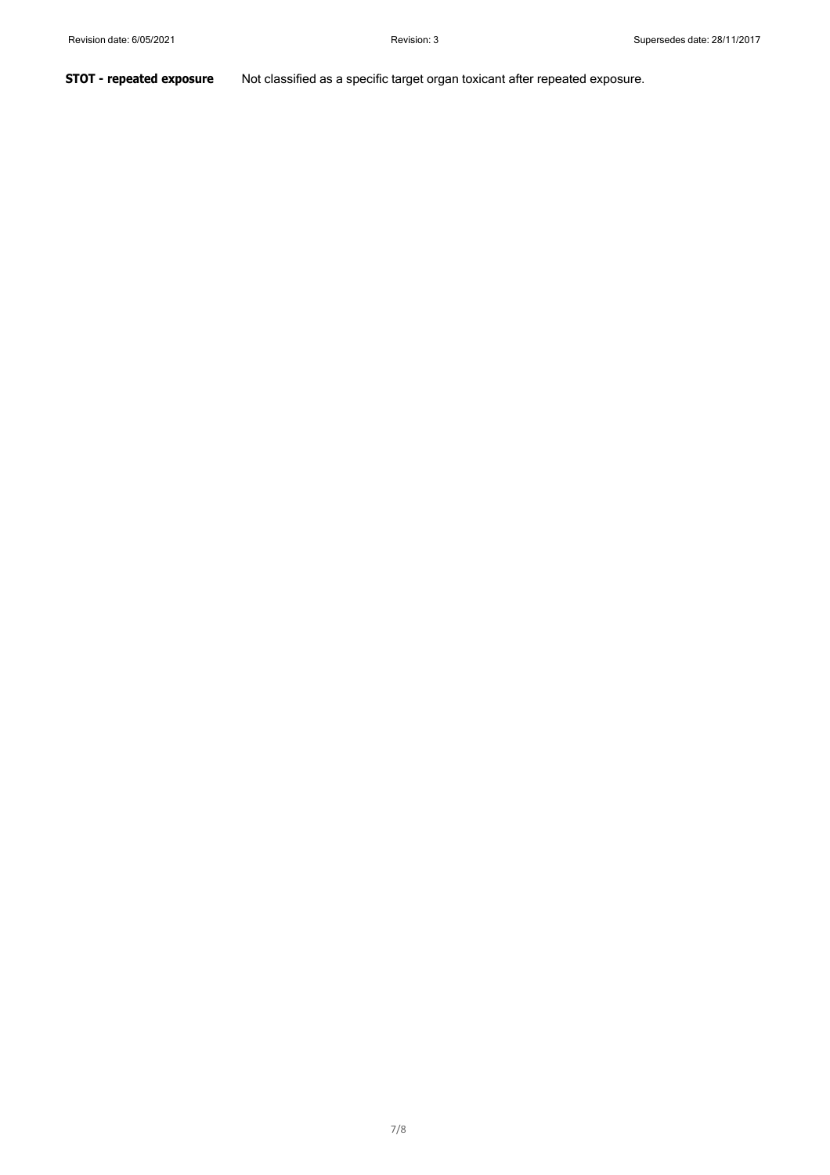**STOT - repeated exposure** Not classified as a specific target organ toxicant after repeated exposure.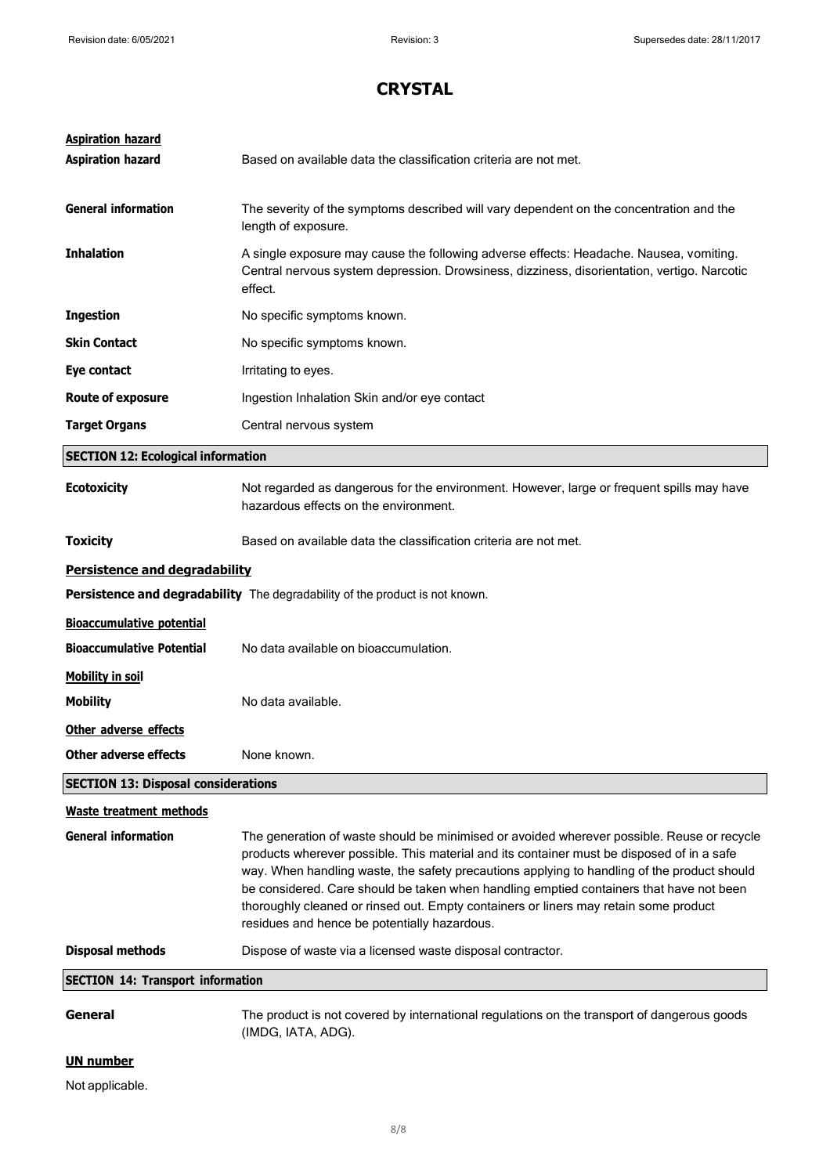| <b>Aspiration hazard</b><br><b>Aspiration hazard</b> | Based on available data the classification criteria are not met.                                                                                                                                                                                                                                                                                                                                                                                                                                                          |
|------------------------------------------------------|---------------------------------------------------------------------------------------------------------------------------------------------------------------------------------------------------------------------------------------------------------------------------------------------------------------------------------------------------------------------------------------------------------------------------------------------------------------------------------------------------------------------------|
| <b>General information</b>                           | The severity of the symptoms described will vary dependent on the concentration and the<br>length of exposure.                                                                                                                                                                                                                                                                                                                                                                                                            |
| <b>Inhalation</b>                                    | A single exposure may cause the following adverse effects: Headache. Nausea, vomiting.<br>Central nervous system depression. Drowsiness, dizziness, disorientation, vertigo. Narcotic<br>effect.                                                                                                                                                                                                                                                                                                                          |
| <b>Ingestion</b>                                     | No specific symptoms known.                                                                                                                                                                                                                                                                                                                                                                                                                                                                                               |
| <b>Skin Contact</b>                                  | No specific symptoms known.                                                                                                                                                                                                                                                                                                                                                                                                                                                                                               |
| Eye contact                                          | Irritating to eyes.                                                                                                                                                                                                                                                                                                                                                                                                                                                                                                       |
| <b>Route of exposure</b>                             | Ingestion Inhalation Skin and/or eye contact                                                                                                                                                                                                                                                                                                                                                                                                                                                                              |
| <b>Target Organs</b>                                 | Central nervous system                                                                                                                                                                                                                                                                                                                                                                                                                                                                                                    |
| <b>SECTION 12: Ecological information</b>            |                                                                                                                                                                                                                                                                                                                                                                                                                                                                                                                           |
| <b>Ecotoxicity</b>                                   | Not regarded as dangerous for the environment. However, large or frequent spills may have<br>hazardous effects on the environment.                                                                                                                                                                                                                                                                                                                                                                                        |
| <b>Toxicity</b>                                      | Based on available data the classification criteria are not met.                                                                                                                                                                                                                                                                                                                                                                                                                                                          |
| Persistence and degradability                        |                                                                                                                                                                                                                                                                                                                                                                                                                                                                                                                           |
|                                                      | Persistence and degradability The degradability of the product is not known.                                                                                                                                                                                                                                                                                                                                                                                                                                              |
| <b>Bioaccumulative potential</b>                     |                                                                                                                                                                                                                                                                                                                                                                                                                                                                                                                           |
| <b>Bioaccumulative Potential</b>                     | No data available on bioaccumulation.                                                                                                                                                                                                                                                                                                                                                                                                                                                                                     |
| <b>Mobility in soil</b>                              |                                                                                                                                                                                                                                                                                                                                                                                                                                                                                                                           |
| <b>Mobility</b>                                      | No data available.                                                                                                                                                                                                                                                                                                                                                                                                                                                                                                        |
| Other adverse effects                                |                                                                                                                                                                                                                                                                                                                                                                                                                                                                                                                           |
| <b>Other adverse effects</b>                         | None known.                                                                                                                                                                                                                                                                                                                                                                                                                                                                                                               |
| <b>SECTION 13: Disposal considerations</b>           |                                                                                                                                                                                                                                                                                                                                                                                                                                                                                                                           |
| <b>Waste treatment methods</b>                       |                                                                                                                                                                                                                                                                                                                                                                                                                                                                                                                           |
| <b>General information</b>                           | The generation of waste should be minimised or avoided wherever possible. Reuse or recycle<br>products wherever possible. This material and its container must be disposed of in a safe<br>way. When handling waste, the safety precautions applying to handling of the product should<br>be considered. Care should be taken when handling emptied containers that have not been<br>thoroughly cleaned or rinsed out. Empty containers or liners may retain some product<br>residues and hence be potentially hazardous. |
| <b>Disposal methods</b>                              | Dispose of waste via a licensed waste disposal contractor.                                                                                                                                                                                                                                                                                                                                                                                                                                                                |
| <b>SECTION 14: Transport information</b>             |                                                                                                                                                                                                                                                                                                                                                                                                                                                                                                                           |
| General                                              | The product is not covered by international regulations on the transport of dangerous goods<br>(IMDG, IATA, ADG).                                                                                                                                                                                                                                                                                                                                                                                                         |
| <b>UN number</b>                                     |                                                                                                                                                                                                                                                                                                                                                                                                                                                                                                                           |

# Not applicable.